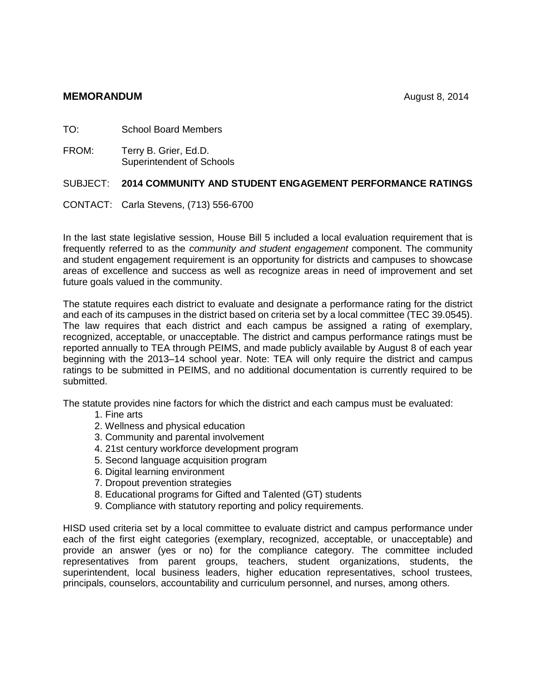## **MEMORANDUM** August 8, 2014

TO: School Board Members

FROM: Terry B. Grier, Ed.D. Superintendent of Schools

## SUBJECT: **2014 COMMUNITY AND STUDENT ENGAGEMENT PERFORMANCE RATINGS**

CONTACT: Carla Stevens, (713) 556-6700

In the last state legislative session, House Bill 5 included a local evaluation requirement that is frequently referred to as the *community and student engagement* component. The community and student engagement requirement is an opportunity for districts and campuses to showcase areas of excellence and success as well as recognize areas in need of improvement and set future goals valued in the community.

The statute requires each district to evaluate and designate a performance rating for the district and each of its campuses in the district based on criteria set by a local committee (TEC 39.0545). The law requires that each district and each campus be assigned a rating of exemplary, recognized, acceptable, or unacceptable. The district and campus performance ratings must be reported annually to TEA through PEIMS, and made publicly available by August 8 of each year beginning with the 2013–14 school year. Note: TEA will only require the district and campus ratings to be submitted in PEIMS, and no additional documentation is currently required to be submitted.

The statute provides nine factors for which the district and each campus must be evaluated:

- 1. Fine arts
- 2. Wellness and physical education
- 3. Community and parental involvement
- 4. 21st century workforce development program
- 5. Second language acquisition program
- 6. Digital learning environment
- 7. Dropout prevention strategies
- 8. Educational programs for Gifted and Talented (GT) students
- 9. Compliance with statutory reporting and policy requirements.

HISD used criteria set by a local committee to evaluate district and campus performance under each of the first eight categories (exemplary, recognized, acceptable, or unacceptable) and provide an answer (yes or no) for the compliance category. The committee included representatives from parent groups, teachers, student organizations, students, the superintendent, local business leaders, higher education representatives, school trustees, principals, counselors, accountability and curriculum personnel, and nurses, among others.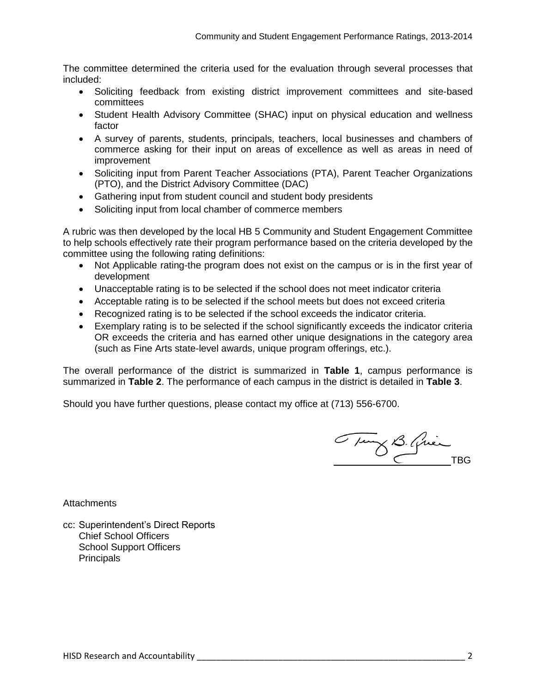The committee determined the criteria used for the evaluation through several processes that included:

- Soliciting feedback from existing district improvement committees and site-based committees
- Student Health Advisory Committee (SHAC) input on physical education and wellness factor
- A survey of parents, students, principals, teachers, local businesses and chambers of commerce asking for their input on areas of excellence as well as areas in need of improvement
- Soliciting input from Parent Teacher Associations (PTA), Parent Teacher Organizations (PTO), and the District Advisory Committee (DAC)
- Gathering input from student council and student body presidents
- Soliciting input from local chamber of commerce members

A rubric was then developed by the local HB 5 Community and Student Engagement Committee to help schools effectively rate their program performance based on the criteria developed by the committee using the following rating definitions:

- Not Applicable rating-the program does not exist on the campus or is in the first year of development
- Unacceptable rating is to be selected if the school does not meet indicator criteria
- Acceptable rating is to be selected if the school meets but does not exceed criteria
- Recognized rating is to be selected if the school exceeds the indicator criteria.
- Exemplary rating is to be selected if the school significantly exceeds the indicator criteria OR exceeds the criteria and has earned other unique designations in the category area (such as Fine Arts state-level awards, unique program offerings, etc.).

The overall performance of the district is summarized in **Table 1**, campus performance is summarized in **Table 2**. The performance of each campus in the district is detailed in **Table 3**.

Should you have further questions, please contact my office at (713) 556-6700.

Tung B. Quien

**Attachments** 

cc: Superintendent's Direct Reports Chief School Officers School Support Officers **Principals**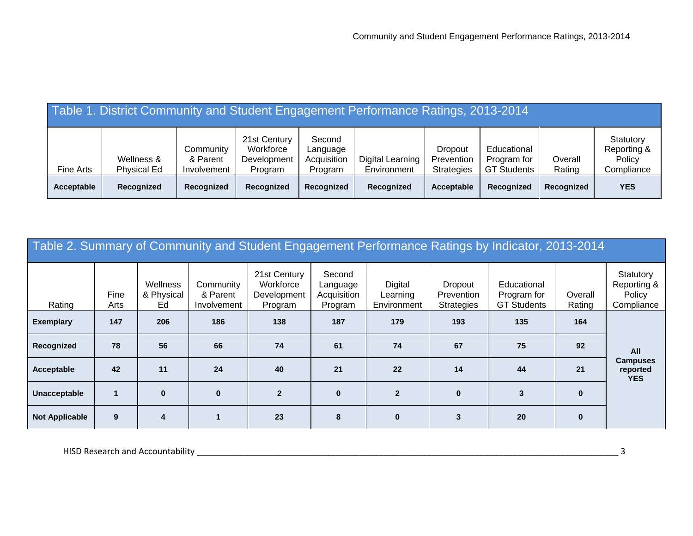|            | Table 1. District Community and Student Engagement Performance Ratings, 2013-2014 |                                      |                                                     |                                              |                                 |                                            |                                                  |                   |                                                  |
|------------|-----------------------------------------------------------------------------------|--------------------------------------|-----------------------------------------------------|----------------------------------------------|---------------------------------|--------------------------------------------|--------------------------------------------------|-------------------|--------------------------------------------------|
| Fine Arts  | Wellness &<br><b>Physical Ed</b>                                                  | Community<br>& Parent<br>Involvement | 21st Century<br>Workforce<br>Development<br>Program | Second<br>Language<br>Acquisition<br>Program | Digital Learning<br>Environment | Dropout<br>Prevention<br><b>Strategies</b> | Educational<br>Program for<br><b>GT Students</b> | Overall<br>Rating | Statutory<br>Reporting &<br>Policy<br>Compliance |
| Acceptable | Recognized                                                                        | Recognized                           | Recognized                                          | Recognized                                   | Recognized                      | Acceptable                                 | Recognized                                       | Recognized        | <b>YES</b>                                       |

|                       | Table 2. Summary of Community and Student Engagement Performance Ratings by Indicator, 2013-2014 |                              |                                      |                                                     |                                              |                                    |                                            |                                                  |                   |                                                  |  |  |  |  |  |
|-----------------------|--------------------------------------------------------------------------------------------------|------------------------------|--------------------------------------|-----------------------------------------------------|----------------------------------------------|------------------------------------|--------------------------------------------|--------------------------------------------------|-------------------|--------------------------------------------------|--|--|--|--|--|
| Rating                | Fine<br>Arts                                                                                     | Wellness<br>& Physical<br>Ed | Community<br>& Parent<br>Involvement | 21st Century<br>Workforce<br>Development<br>Program | Second<br>Language<br>Acquisition<br>Program | Digital<br>Learning<br>Environment | Dropout<br>Prevention<br><b>Strategies</b> | Educational<br>Program for<br><b>GT Students</b> | Overall<br>Rating | Statutory<br>Reporting &<br>Policy<br>Compliance |  |  |  |  |  |
| <b>Exemplary</b>      | 147                                                                                              | 206                          | 186                                  | 138                                                 | 187                                          | 179                                | 193                                        | 135                                              | 164               |                                                  |  |  |  |  |  |
| Recognized            | 78                                                                                               | 56                           | 66                                   | 74                                                  | 61                                           | 74                                 | 67                                         | 75                                               | 92                | All                                              |  |  |  |  |  |
| Acceptable            | 42                                                                                               | 11                           | 24                                   | 40                                                  | 21                                           | 22                                 | 14                                         | 44                                               | 21                | <b>Campuses</b><br>reported<br><b>YES</b>        |  |  |  |  |  |
| Unacceptable          |                                                                                                  | $\bf{0}$                     | $\bf{0}$                             | $\overline{2}$                                      | $\mathbf{0}$                                 | $\overline{2}$                     | $\mathbf{0}$                               | $\mathbf{3}$                                     | $\bf{0}$          |                                                  |  |  |  |  |  |
| <b>Not Applicable</b> | 9                                                                                                | 4                            |                                      | 23                                                  | 8                                            | $\mathbf{0}$                       | 3                                          | 20                                               | $\mathbf{0}$      |                                                  |  |  |  |  |  |

HISD Research and Accountability \_\_\_\_\_\_\_\_\_\_\_\_\_\_\_\_\_\_\_\_\_\_\_\_\_\_\_\_\_\_\_\_\_\_\_\_\_\_\_\_\_\_\_\_\_\_\_\_\_\_\_\_\_\_\_\_\_\_\_\_\_\_\_\_\_\_\_\_\_\_\_\_\_\_\_\_\_\_\_\_\_\_\_\_\_\_\_\_ 3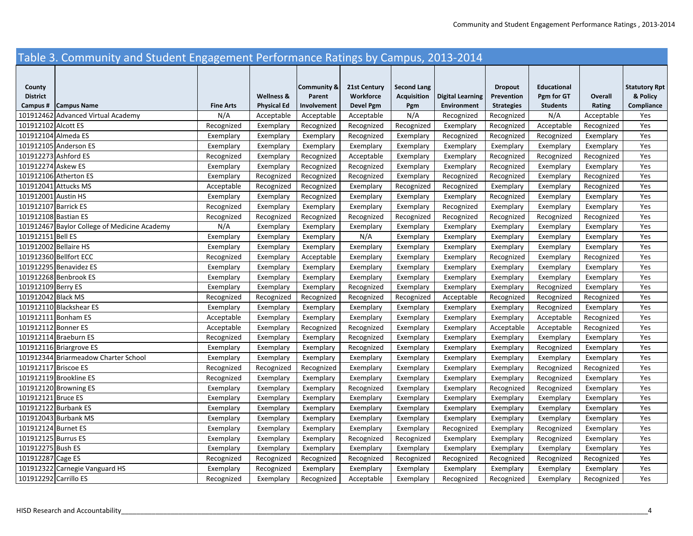## Table 3. Community and Student Engagement Performance Ratings by Campus, 2013‐2014

| County                |                                              |                  |                    | <b>Community &amp;</b> | 21st Century | <b>Second Lang</b> |                         | <b>Dropout</b>    | <b>Educational</b> |            | <b>Statutory Rpt</b> |
|-----------------------|----------------------------------------------|------------------|--------------------|------------------------|--------------|--------------------|-------------------------|-------------------|--------------------|------------|----------------------|
| <b>District</b>       |                                              |                  | Wellness &         | Parent                 | Workforce    | <b>Acquisition</b> | <b>Digital Learning</b> | Prevention        | Pgm for GT         | Overall    | & Policy             |
| Campus#               | <b>Campus Name</b>                           | <b>Fine Arts</b> | <b>Physical Ed</b> | Involvement            | Devel Pgm    | Pgm                | Environment             | <b>Strategies</b> | <b>Students</b>    | Rating     | Compliance           |
|                       | 101912462 Advanced Virtual Academy           | N/A              | Acceptable         | Acceptable             | Acceptable   | N/A                | Recognized              | Recognized        | N/A                | Acceptable | Yes                  |
| 101912102 Alcott ES   |                                              | Recognized       | Exemplary          | Recognized             | Recognized   | Recognized         | Exemplary               | Recognized        | Acceptable         | Recognized | Yes                  |
| 101912104 Almeda ES   |                                              | Exemplary        | Exemplary          | Exemplary              | Recognized   | Exemplary          | Recognized              | Recognized        | Recognized         | Exemplary  | Yes                  |
|                       | 101912105 Anderson ES                        | Exemplary        | Exemplary          | Exemplary              | Exemplary    | Exemplary          | Exemplary               | Exemplary         | Exemplary          | Exemplary  | Yes                  |
| 101912273 Ashford ES  |                                              | Recognized       | Exemplary          | Recognized             | Acceptable   | Exemplary          | Exemplary               | Recognized        | Recognized         | Recognized | Yes                  |
| 101912274 Askew ES    |                                              | Exemplary        | Exemplary          | Recognized             | Recognized   | Exemplary          | Exemplary               | Recognized        | Exemplary          | Exemplary  | Yes                  |
|                       | 101912106 Atherton ES                        | Exemplary        | Recognized         | Recognized             | Recognized   | Exemplary          | Recognized              | Recognized        | Exemplary          | Recognized | Yes                  |
| 101912041 Attucks MS  |                                              | Acceptable       | Recognized         | Recognized             | Exemplary    | Recognized         | Recognized              | Exemplary         | Exemplary          | Recognized | Yes                  |
| 101912001 Austin HS   |                                              | Exemplary        | Exemplary          | Recognized             | Exemplary    | Exemplary          | Exemplary               | Recognized        | Exemplary          | Exemplary  | Yes                  |
| 101912107 Barrick ES  |                                              | Recognized       | Exemplary          | Exemplary              | Exemplary    | Exemplary          | Recognized              | Exemplary         | Exemplary          | Exemplary  | Yes                  |
| 101912108 Bastian ES  |                                              | Recognized       | Recognized         | Recognized             | Recognized   | Recognized         | Recognized              | Recognized        | Recognized         | Recognized | Yes                  |
|                       | 101912467 Baylor College of Medicine Academy | N/A              | Exemplary          | Exemplary              | Exemplary    | Exemplary          | Exemplary               | Exemplary         | Exemplary          | Exemplary  | Yes                  |
| 101912151 Bell ES     |                                              | Exemplary        | Exemplary          | Exemplary              | N/A          | Exemplary          | Exemplary               | Exemplary         | Exemplary          | Exemplary  | Yes                  |
| 101912002 Bellaire HS |                                              | Exemplary        | Exemplary          | Exemplary              | Exemplary    | Exemplary          | Exemplary               | Exemplary         | Exemplary          | Exemplary  | Yes                  |
|                       | 101912360 Bellfort ECC                       | Recognized       | Exemplary          | Acceptable             | Exemplary    | Exemplary          | Exemplary               | Recognized        | Exemplary          | Recognized | Yes                  |
|                       | 101912295 Benavidez ES                       | Exemplary        | Exemplary          | Exemplary              | Exemplary    | Exemplary          | Exemplary               | Exemplary         | Exemplary          | Exemplary  | Yes                  |
|                       | 101912268 Benbrook ES                        | Exemplary        | Exemplary          | Exemplary              | Exemplary    | Exemplary          | Exemplary               | Exemplary         | Exemplary          | Exemplary  | Yes                  |
| 101912109 Berry ES    |                                              | Exemplary        | Exemplary          | Exemplary              | Recognized   | Exemplary          | Exemplary               | Exemplary         | Recognized         | Exemplary  | Yes                  |
| 101912042 Black MS    |                                              | Recognized       | Recognized         | Recognized             | Recognized   | Recognized         | Acceptable              | Recognized        | Recognized         | Recognized | Yes                  |
|                       | 101912110 Blackshear ES                      | Exemplary        | Exemplary          | Exemplary              | Exemplary    | Exemplary          | Exemplary               | Exemplary         | Recognized         | Exemplary  | Yes                  |
|                       | 101912111 Bonham ES                          | Acceptable       | Exemplary          | Exemplary              | Exemplary    | Exemplary          | Exemplary               | Exemplary         | Acceptable         | Recognized | Yes                  |
| 101912112 Bonner ES   |                                              | Acceptable       | Exemplary          | Recognized             | Recognized   | Exemplary          | Exemplary               | Acceptable        | Acceptable         | Recognized | Yes                  |
|                       | 101912114 Braeburn ES                        | Recognized       | Exemplary          | Exemplary              | Recognized   | Exemplary          | Exemplary               | Exemplary         | Exemplary          | Exemplary  | Yes                  |
|                       | 101912116 Briargrove ES                      | Exemplary        | Exemplary          | Exemplary              | Recognized   | Exemplary          | Exemplary               | Exemplary         | Recognized         | Exemplary  | Yes                  |
|                       | 101912344 Briarmeadow Charter School         | Exemplary        | Exemplary          | Exemplary              | Exemplary    | Exemplary          | Exemplary               | Exemplary         | Exemplary          | Exemplary  | Yes                  |
| 101912117 Briscoe ES  |                                              | Recognized       | Recognized         | Recognized             | Exemplary    | Exemplary          | Exemplary               | Exemplary         | Recognized         | Recognized | Yes                  |
|                       | 101912119 Brookline ES                       | Recognized       | Exemplary          | Exemplary              | Exemplary    | Exemplary          | Exemplary               | Exemplary         | Recognized         | Exemplary  | Yes                  |
|                       | 101912120 Browning ES                        | Exemplary        | Exemplary          | Exemplary              | Recognized   | Exemplary          | Exemplary               | Recognized        | Recognized         | Exemplary  | Yes                  |
| 101912121 Bruce ES    |                                              | Exemplary        | Exemplary          | Exemplary              | Exemplary    | Exemplary          | Exemplary               | Exemplary         | Exemplary          | Exemplary  | Yes                  |
| 101912122 Burbank ES  |                                              | Exemplary        | Exemplary          | Exemplary              | Exemplary    | Exemplary          | Exemplary               | Exemplary         | Exemplary          | Exemplary  | Yes                  |
|                       | 101912043 Burbank MS                         | Exemplary        | Exemplary          | Exemplary              | Exemplary    | Exemplary          | Exemplary               | Exemplary         | Exemplary          | Exemplary  | Yes                  |
| 101912124 Burnet ES   |                                              | Exemplary        | Exemplary          | Exemplary              | Exemplary    | Exemplary          | Recognized              | Exemplary         | Recognized         | Exemplary  | Yes                  |
| 101912125 Burrus ES   |                                              | Exemplary        | Exemplary          | Exemplary              | Recognized   | Recognized         | Exemplary               | Exemplary         | Recognized         | Exemplary  | Yes                  |
| 101912275 Bush ES     |                                              | Exemplary        | Exemplary          | Exemplary              | Exemplary    | Exemplary          | Exemplary               | Exemplary         | Exemplary          | Exemplary  | Yes                  |
| 101912287 Cage ES     |                                              | Recognized       | Recognized         | Recognized             | Recognized   | Recognized         | Recognized              | Recognized        | Recognized         | Recognized | Yes                  |
|                       | 101912322 Carnegie Vanguard HS               | Exemplary        | Recognized         | Exemplary              | Exemplary    | Exemplary          | Exemplary               | Exemplary         | Exemplary          | Exemplary  | Yes                  |
| 101912292 Carrillo ES |                                              | Recognized       | Exemplary          | Recognized             | Acceptable   | Exemplary          | Recognized              | Recognized        | Exemplary          | Recognized | Yes                  |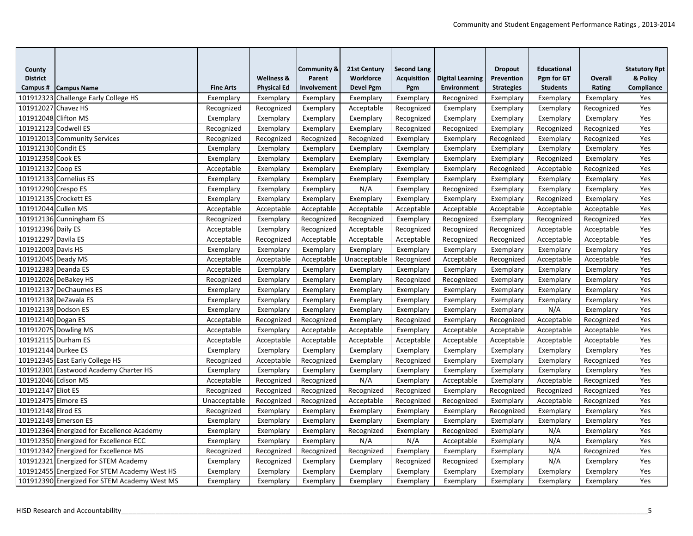| County<br><b>District</b> |                                              |                  | <b>Wellness &amp;</b> | <b>Community &amp;</b><br>Parent | 21st Century<br>Workforce | <b>Second Lang</b><br><b>Acquisition</b> | Digital Learning   | <b>Dropout</b><br>Prevention | <b>Educational</b><br>Pgm for GT | Overall    | <b>Statutory Rpt</b><br>& Policy |
|---------------------------|----------------------------------------------|------------------|-----------------------|----------------------------------|---------------------------|------------------------------------------|--------------------|------------------------------|----------------------------------|------------|----------------------------------|
| Campus#                   | <b>Campus Name</b>                           | <b>Fine Arts</b> | <b>Physical Ed</b>    | Involvement                      | <b>Devel Pgm</b>          | Pgm                                      | <b>Environment</b> | <b>Strategies</b>            | <b>Students</b>                  | Rating     | Compliance                       |
|                           | 101912323 Challenge Early College HS         | Exemplary        | Exemplary             | Exemplary                        | Exemplary                 | Exemplary                                | Recognized         | Exemplary                    | Exemplary                        | Exemplary  | Yes                              |
| 101912027 Chavez HS       |                                              | Recognized       | Recognized            | Exemplary                        | Acceptable                | Recognized                               | Exemplary          | Exemplary                    | Exemplary                        | Recognized | Yes                              |
| 101912048 Clifton MS      |                                              | Exemplary        | Exemplary             | Exemplary                        | Exemplary                 | Recognized                               | Exemplary          | Exemplary                    | Exemplary                        | Exemplary  | Yes                              |
| 101912123 Codwell ES      |                                              | Recognized       | Exemplary             | Exemplary                        | Exemplary                 | Recognized                               | Recognized         | Exemplary                    | Recognized                       | Recognized | Yes                              |
|                           | 101912013 Community Services                 | Recognized       | Recognized            | Recognized                       | Recognized                | Exemplary                                | Exemplary          | Recognized                   | Exemplary                        | Recognized | Yes                              |
| 101912130 Condit ES       |                                              | Exemplary        | Exemplary             | Exemplary                        | Exemplary                 | Exemplary                                | Exemplary          | Exemplary                    | Exemplary                        | Exemplary  | Yes                              |
| 101912358 Cook ES         |                                              | Exemplary        | Exemplary             | Exemplary                        | Exemplary                 | Exemplary                                | Exemplary          | Exemplary                    | Recognized                       | Exemplary  | Yes                              |
| 101912132 Coop ES         |                                              | Acceptable       | Exemplary             | Exemplary                        | Exemplary                 | Exemplary                                | Exemplary          | Recognized                   | Acceptable                       | Recognized | Yes                              |
|                           | 101912133 Cornelius ES                       | Exemplary        | Exemplary             | Exemplary                        | Exemplary                 | Exemplary                                | Exemplary          | Exemplary                    | Exemplary                        | Exemplary  | Yes                              |
| 101912290 Crespo ES       |                                              | Exemplary        | Exemplary             | Exemplary                        | N/A                       | Exemplary                                | Recognized         | Exemplary                    | Exemplary                        | Exemplary  | Yes                              |
|                           | 101912135 Crockett ES                        | Exemplary        | Exemplary             | Exemplary                        | Exemplary                 | Exemplary                                | Exemplary          | Exemplary                    | Recognized                       | Exemplary  | Yes                              |
| 101912044 Cullen MS       |                                              | Acceptable       | Acceptable            | Acceptable                       | Acceptable                | Acceptable                               | Acceptable         | Acceptable                   | Acceptable                       | Acceptable | Yes                              |
|                           | 101912136 Cunningham ES                      | Recognized       | Exemplary             | Recognized                       | Recognized                | Exemplary                                | Recognized         | Exemplary                    | Recognized                       | Recognized | Yes                              |
| 101912396 Daily ES        |                                              | Acceptable       | Exemplary             | Recognized                       | Acceptable                | Recognized                               | Recognized         | Recognized                   | Acceptable                       | Acceptable | Yes                              |
| 101912297 Davila ES       |                                              | Acceptable       | Recognized            | Acceptable                       | Acceptable                | Acceptable                               | Recognized         | Recognized                   | Acceptable                       | Acceptable | Yes                              |
| 101912003 Davis HS        |                                              | Exemplary        | Exemplary             | Exemplary                        | Exemplary                 | Exemplary                                | Exemplary          | Exemplary                    | Exemplary                        | Exemplary  | Yes                              |
| 101912045 Deady MS        |                                              | Acceptable       | Acceptable            | Acceptable                       | Unacceptable              | Recognized                               | Acceptable         | Recognized                   | Acceptable                       | Acceptable | Yes                              |
| 101912383 Deanda ES       |                                              | Acceptable       | Exemplary             | Exemplary                        | Exemplary                 | Exemplary                                | Exemplary          | Exemplary                    | Exemplary                        | Exemplary  | Yes                              |
|                           | 101912026 DeBakey HS                         | Recognized       | Exemplary             | Exemplary                        | Exemplary                 | Recognized                               | Recognized         | Exemplary                    | Exemplary                        | Exemplary  | Yes                              |
|                           | 101912137 DeChaumes ES                       | Exemplary        | Exemplary             | Exemplary                        | Exemplary                 | Exemplary                                | Exemplary          | Exemplary                    | Exemplary                        | Exemplary  | Yes                              |
|                           | 101912138 DeZavala ES                        | Exemplary        | Exemplary             | Exemplary                        | Exemplary                 | Exemplary                                | Exemplary          | Exemplary                    | Exemplary                        | Exemplary  | Yes                              |
| 101912139 Dodson ES       |                                              | Exemplary        | Exemplary             | Exemplary                        | Exemplary                 | Exemplary                                | Exemplary          | Exemplary                    | N/A                              | Exemplary  | Yes                              |
| 101912140 Dogan ES        |                                              | Acceptable       | Recognized            | Recognized                       | Exemplary                 | Recognized                               | Exemplary          | Recognized                   | Acceptable                       | Recognized | Yes                              |
|                           | 101912075 Dowling MS                         | Acceptable       | Exemplary             | Acceptable                       | Acceptable                | Exemplary                                | Acceptable         | Acceptable                   | Acceptable                       | Acceptable | Yes                              |
| 101912115 Durham ES       |                                              | Acceptable       | Acceptable            | Acceptable                       | Acceptable                | Acceptable                               | Acceptable         | Acceptable                   | Acceptable                       | Acceptable | Yes                              |
| 101912144 Durkee ES       |                                              | Exemplary        | Exemplary             | Exemplary                        | Exemplary                 | Exemplary                                | Exemplary          | Exemplary                    | Exemplary                        | Exemplary  | Yes                              |
|                           | 101912345 East Early College HS              | Recognized       | Acceptable            | Recognized                       | Exemplary                 | Recognized                               | Exemplary          | Exemplary                    | Exemplary                        | Recognized | Yes                              |
|                           | 101912301 Eastwood Academy Charter HS        | Exemplary        | Exemplary             | Exemplary                        | Exemplary                 | Exemplary                                | Exemplary          | Exemplary                    | Exemplary                        | Exemplary  | Yes                              |
| 101912046 Edison MS       |                                              | Acceptable       | Recognized            | Recognized                       | N/A                       | Exemplary                                | Acceptable         | Exemplary                    | Acceptable                       | Recognized | Yes                              |
| 101912147 Eliot ES        |                                              | Recognized       | Recognized            | Recognized                       | Recognized                | Recognized                               | Exemplary          | Recognized                   | Recognized                       | Recognized | Yes                              |
| 101912475 Elmore ES       |                                              | Unacceptable     | Recognized            | Recognized                       | Acceptable                | Recognized                               | Recognized         | Exemplary                    | Acceptable                       | Recognized | Yes                              |
| 101912148 Elrod ES        |                                              | Recognized       | Exemplary             | Exemplary                        | Exemplary                 | Exemplary                                | Exemplary          | Recognized                   | Exemplary                        | Exemplary  | Yes                              |
|                           | 101912149 Emerson ES                         | Exemplary        | Exemplary             | Exemplary                        | Exemplary                 | Exemplary                                | Exemplary          | Exemplary                    | Exemplary                        | Exemplary  | Yes                              |
|                           | 101912364 Energized for Excellence Academy   | Exemplary        | Exemplary             | Exemplary                        | Recognized                | Exemplary                                | Recognized         | Exemplary                    | N/A                              | Exemplary  | Yes                              |
|                           | 101912350 Energized for Excellence ECC       | Exemplary        | Exemplary             | Exemplary                        | N/A                       | N/A                                      | Acceptable         | Exemplary                    | N/A                              | Exemplary  | Yes                              |
|                           | 101912342 Energized for Excellence MS        | Recognized       | Recognized            | Recognized                       | Recognized                | Exemplary                                | Exemplary          | Exemplary                    | N/A                              | Recognized | Yes                              |
|                           | 101912321 Energized for STEM Academy         | Exemplary        | Recognized            | Exemplary                        | Exemplary                 | Recognized                               | Recognized         | Exemplary                    | N/A                              | Exemplary  | Yes                              |
|                           | 101912455 Energized For STEM Academy West HS | Exemplary        | Exemplary             | Exemplary                        | Exemplary                 | Exemplary                                | Exemplary          | Exemplary                    | Exemplary                        | Exemplary  | Yes                              |
|                           | 101912390 Energized For STEM Academy West MS | Exemplary        | Exemplary             | Exemplary                        | Exemplary                 | Exemplary                                | Exemplary          | Exemplary                    | Exemplary                        | Exemplary  | Yes                              |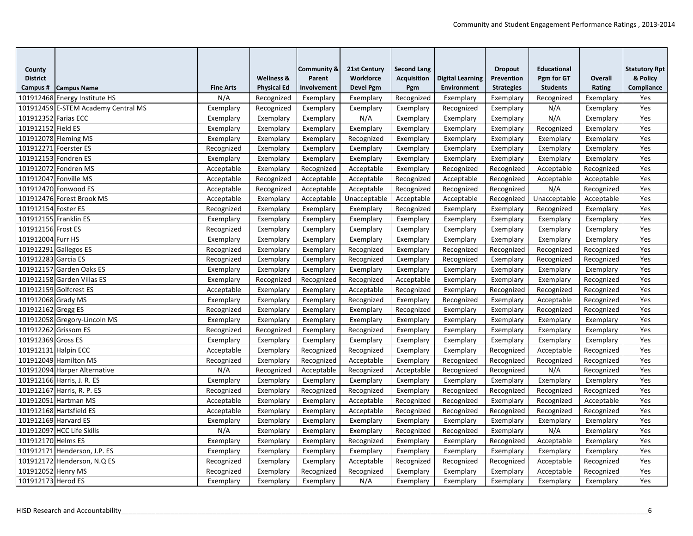| County                |                                     |                  |                       | <b>Community &amp;</b> | 21st Century     | <b>Second Lang</b> |                         | <b>Dropout</b>    | <b>Educational</b> |            | <b>Statutory Rpt</b> |
|-----------------------|-------------------------------------|------------------|-----------------------|------------------------|------------------|--------------------|-------------------------|-------------------|--------------------|------------|----------------------|
| <b>District</b>       |                                     |                  | <b>Wellness &amp;</b> | Parent                 | Workforce        | <b>Acquisition</b> | <b>Digital Learning</b> | Prevention        | Pgm for GT         | Overall    | & Policy             |
| Campus#               | <b>Campus Name</b>                  | <b>Fine Arts</b> | <b>Physical Ed</b>    | Involvement            | <b>Devel Pgm</b> | Pgm                | <b>Environment</b>      | <b>Strategies</b> | <b>Students</b>    | Rating     | Compliance           |
|                       | 101912468 Energy Institute HS       | N/A              | Recognized            | Exemplary              | Exemplary        | Recognized         | Exemplary               | Exemplary         | Recognized         | Exemplary  | Yes                  |
|                       | 101912459 E-STEM Academy Central MS | Exemplary        | Recognized            | Exemplary              | Exemplary        | Exemplary          | Recognized              | Exemplary         | N/A                | Exemplary  | Yes                  |
| 101912352 Farias ECC  |                                     | Exemplary        | Exemplary             | Exemplary              | N/A              | Exemplary          | Exemplary               | Exemplary         | N/A                | Exemplary  | Yes                  |
| 101912152 Field ES    |                                     | Exemplary        | Exemplary             | Exemplary              | Exemplary        | Exemplary          | Exemplary               | Exemplary         | Recognized         | Exemplary  | Yes                  |
|                       | 101912078 Fleming MS                | Exemplary        | Exemplary             | Exemplary              | Recognized       | Exemplary          | Exemplary               | Exemplary         | Exemplary          | Exemplary  | Yes                  |
|                       | 101912271 Foerster ES               | Recognized       | Exemplary             | Exemplary              | Exemplary        | Exemplary          | Exemplary               | Exemplary         | Exemplary          | Exemplary  | Yes                  |
|                       | 101912153 Fondren ES                | Exemplary        | Exemplary             | Exemplary              | Exemplary        | Exemplary          | Exemplary               | Exemplary         | Exemplary          | Exemplary  | Yes                  |
|                       | 101912072 Fondren MS                | Acceptable       | Exemplary             | Recognized             | Acceptable       | Exemplary          | Recognized              | Recognized        | Acceptable         | Recognized | Yes                  |
|                       | 101912047 Fonville MS               | Acceptable       | Recognized            | Acceptable             | Acceptable       | Recognized         | Acceptable              | Recognized        | Acceptable         | Acceptable | Yes                  |
|                       | 101912470 Fonwood ES                | Acceptable       | Recognized            | Acceptable             | Acceptable       | Recognized         | Recognized              | Recognized        | N/A                | Recognized | Yes                  |
|                       | 101912476 Forest Brook MS           | Acceptable       | Exemplary             | Acceptable             | Unacceptable     | Acceptable         | Acceptable              | Recognized        | Unacceptable       | Acceptable | Yes                  |
| 101912154 Foster ES   |                                     | Recognized       | Exemplary             | Exemplary              | Exemplary        | Recognized         | Exemplary               | Exemplary         | Recognized         | Exemplary  | Yes                  |
| 101912155 Franklin ES |                                     | Exemplary        | Exemplary             | Exemplary              | Exemplary        | Exemplary          | Exemplary               | Exemplary         | Exemplary          | Exemplary  | Yes                  |
| 101912156 Frost ES    |                                     | Recognized       | Exemplary             | Exemplary              | Exemplary        | Exemplary          | Exemplary               | Exemplary         | Exemplary          | Exemplary  | Yes                  |
| 101912004 Furr HS     |                                     | Exemplary        | Exemplary             | Exemplary              | Exemplary        | Exemplary          | Exemplary               | Exemplary         | Exemplary          | Exemplary  | Yes                  |
|                       | 101912291 Gallegos ES               | Recognized       | Exemplary             | Exemplary              | Recognized       | Exemplary          | Recognized              | Recognized        | Recognized         | Recognized | Yes                  |
| 101912283 Garcia ES   |                                     | Recognized       | Exemplary             | Exemplary              | Recognized       | Exemplary          | Recognized              | Exemplary         | Recognized         | Recognized | Yes                  |
|                       | 101912157 Garden Oaks ES            | Exemplary        | Exemplary             | Exemplary              | Exemplary        | Exemplary          | Exemplary               | Exemplary         | Exemplary          | Exemplary  | Yes                  |
|                       | 101912158 Garden Villas ES          | Exemplary        | Recognized            | Recognized             | Recognized       | Acceptable         | Exemplary               | Exemplary         | Exemplary          | Recognized | Yes                  |
|                       | 101912159 Golfcrest ES              | Acceptable       | Exemplary             | Exemplary              | Acceptable       | Recognized         | Exemplary               | Recognized        | Recognized         | Recognized | Yes                  |
| 101912068 Grady MS    |                                     | Exemplary        | Exemplary             | Exemplary              | Recognized       | Exemplary          | Recognized              | Exemplary         | Acceptable         | Recognized | Yes                  |
| 101912162 Gregg ES    |                                     | Recognized       | Exemplary             | Exemplary              | Exemplary        | Recognized         | Exemplary               | Exemplary         | Recognized         | Recognized | Yes                  |
|                       | 101912058 Gregory-Lincoln MS        | Exemplary        | Exemplary             | Exemplary              | Exemplary        | Exemplary          | Exemplary               | Exemplary         | Exemplary          | Exemplary  | Yes                  |
|                       | 101912262 Grissom ES                | Recognized       | Recognized            | Exemplary              | Recognized       | Exemplary          | Exemplary               | Exemplary         | Exemplary          | Exemplary  | Yes                  |
| 101912369 Gross ES    |                                     | Exemplary        | Exemplary             | Exemplary              | Exemplary        | Exemplary          | Exemplary               | Exemplary         | Exemplary          | Exemplary  | Yes                  |
| 101912131 Halpin ECC  |                                     | Acceptable       | Exemplary             | Recognized             | Recognized       | Exemplary          | Exemplary               | Recognized        | Acceptable         | Recognized | Yes                  |
|                       | 101912049 Hamilton MS               | Recognized       | Exemplary             | Recognized             | Acceptable       | Exemplary          | Recognized              | Recognized        | Recognized         | Recognized | Yes                  |
|                       | 101912094 Harper Alternative        | N/A              | Recognized            | Acceptable             | Recognized       | Acceptable         | Recognized              | Recognized        | N/A                | Recognized | Yes                  |
|                       | 101912166 Harris, J. R. ES          | Exemplary        | Exemplary             | Exemplary              | Exemplary        | Exemplary          | Exemplary               | Exemplary         | Exemplary          | Exemplary  | Yes                  |
|                       | 101912167 Harris, R. P. ES          | Recognized       | Exemplary             | Recognized             | Recognized       | Exemplary          | Recognized              | Recognized        | Recognized         | Recognized | Yes                  |
|                       | 101912051 Hartman MS                | Acceptable       | Exemplary             | Exemplary              | Acceptable       | Recognized         | Recognized              | Exemplary         | Recognized         | Acceptable | Yes                  |
|                       | 101912168 Hartsfield ES             | Acceptable       | Exemplary             | Exemplary              | Acceptable       | Recognized         | Recognized              | Recognized        | Recognized         | Recognized | Yes                  |
| 101912169 Harvard ES  |                                     | Exemplary        | Exemplary             | Exemplary              | Exemplary        | Exemplary          | Exemplary               | Exemplary         | Exemplary          | Exemplary  | Yes                  |
|                       | 101912097 HCC Life Skills           | N/A              | Exemplary             | Exemplary              | Exemplary        | Recognized         | Recognized              | Exemplary         | N/A                | Exemplary  | Yes                  |
| 101912170 Helms ES    |                                     | Exemplary        | Exemplary             | Exemplary              | Recognized       | Exemplary          | Exemplary               | Recognized        | Acceptable         | Exemplary  | Yes                  |
|                       | 101912171 Henderson, J.P. ES        | Exemplary        | Exemplary             | Exemplary              | Exemplary        | Exemplary          | Exemplary               | Exemplary         | Exemplary          | Exemplary  | Yes                  |
|                       | 101912172 Henderson, N.Q ES         | Recognized       | Exemplary             | Exemplary              | Acceptable       | Recognized         | Recognized              | Recognized        | Acceptable         | Recognized | Yes                  |
| 101912052 Henry MS    |                                     | Recognized       | Exemplary             | Recognized             | Recognized       | Exemplary          | Exemplary               | Exemplary         | Acceptable         | Recognized | Yes                  |
| 101912173 Herod ES    |                                     | Exemplary        | Exemplary             | Exemplary              | N/A              | Exemplary          | Exemplary               | Exemplary         | Exemplary          | Exemplary  | Yes                  |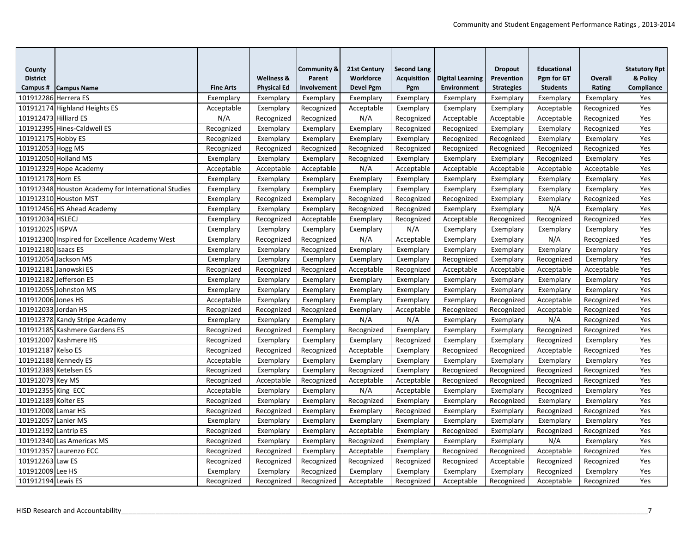|                           |                                                     |                  |                       |                                  | 21st Century     |                                          |                         | <b>Dropout</b>    | <b>Educational</b> |            |                                  |
|---------------------------|-----------------------------------------------------|------------------|-----------------------|----------------------------------|------------------|------------------------------------------|-------------------------|-------------------|--------------------|------------|----------------------------------|
| County<br><b>District</b> |                                                     |                  | <b>Wellness &amp;</b> | <b>Community &amp;</b><br>Parent | Workforce        | <b>Second Lang</b><br><b>Acquisition</b> | <b>Digital Learning</b> | Prevention        | Pgm for GT         | Overall    | <b>Statutory Rpt</b><br>& Policy |
| Campus #                  | <b>Campus Name</b>                                  | <b>Fine Arts</b> | <b>Physical Ed</b>    | Involvement                      | <b>Devel Pgm</b> | Pgm                                      | <b>Environment</b>      | <b>Strategies</b> | <b>Students</b>    | Rating     | Compliance                       |
| 101912286 Herrera ES      |                                                     | Exemplary        | Exemplary             | Exemplary                        | Exemplary        | Exemplary                                | Exemplary               | Exemplary         | Exemplary          | Exemplary  | Yes                              |
|                           | 101912174 Highland Heights ES                       | Acceptable       | Exemplary             | Recognized                       | Acceptable       | Exemplary                                | Exemplary               | Exemplary         | Acceptable         | Recognized | Yes                              |
| 101912473 Hilliard ES     |                                                     | N/A              | Recognized            | Recognized                       | N/A              | Recognized                               | Acceptable              | Acceptable        | Acceptable         | Recognized | Yes                              |
|                           | 101912395 Hines-Caldwell ES                         | Recognized       | Exemplary             | Exemplary                        | Exemplary        | Recognized                               | Recognized              | Exemplary         | Exemplary          | Recognized | Yes                              |
| 101912175 Hobby ES        |                                                     | Recognized       | Exemplary             | Exemplary                        | Exemplary        | Exemplary                                | Recognized              | Recognized        | Exemplary          | Exemplary  | Yes                              |
| 101912053 Hogg MS         |                                                     | Recognized       | Recognized            | Recognized                       | Recognized       | Recognized                               | Recognized              | Recognized        | Recognized         | Recognized | Yes                              |
|                           | 101912050 Holland MS                                | Exemplary        | Exemplary             | Exemplary                        | Recognized       | Exemplary                                | Exemplary               | Exemplary         | Recognized         | Exemplary  | Yes                              |
|                           | 101912329 Hope Academy                              | Acceptable       | Acceptable            | Acceptable                       | N/A              | Acceptable                               | Acceptable              | Acceptable        | Acceptable         | Acceptable | Yes                              |
| 101912178 Horn ES         |                                                     | Exemplary        | Exemplary             | Exemplary                        | Exemplary        | Exemplary                                | Exemplary               | Exemplary         | Exemplary          | Exemplary  | Yes                              |
|                           | 101912348 Houston Academy for International Studies | Exemplary        | Exemplary             | Exemplary                        | Exemplary        | Exemplary                                | Exemplary               | Exemplary         | Exemplary          | Exemplary  | Yes                              |
|                           | 101912310 Houston MST                               | Exemplary        | Recognized            | Exemplary                        | Recognized       | Recognized                               | Recognized              | Exemplary         | Exemplary          | Recognized | Yes                              |
|                           | 101912456 HS Ahead Academy                          | Exemplary        | Exemplary             | Exemplary                        | Recognized       | Recognized                               | Exemplary               | Exemplary         | N/A                | Exemplary  | Yes                              |
| 101912034 HSLECJ          |                                                     | Exemplary        | Recognized            | Acceptable                       | Exemplary        | Recognized                               | Acceptable              | Recognized        | Recognized         | Recognized | Yes                              |
| 101912025 HSPVA           |                                                     | Exemplary        | Exemplary             | Exemplary                        | Exemplary        | N/A                                      | Exemplary               | Exemplary         | Exemplary          | Exemplary  | Yes                              |
|                           | 101912300 Inspired for Excellence Academy West      | Exemplary        | Recognized            | Recognized                       | N/A              | Acceptable                               | Exemplary               | Exemplary         | N/A                | Recognized | Yes                              |
| 101912180 Isaacs ES       |                                                     | Exemplary        | Exemplary             | Recognized                       | Exemplary        | Exemplary                                | Exemplary               | Exemplary         | Exemplary          | Exemplary  | Yes                              |
|                           | 101912054 Jackson MS                                | Exemplary        | Exemplary             | Exemplary                        | Exemplary        | Exemplary                                | Recognized              | Exemplary         | Recognized         | Exemplary  | Yes                              |
|                           | 101912181 Janowski ES                               | Recognized       | Recognized            | Recognized                       | Acceptable       | Recognized                               | Acceptable              | Acceptable        | Acceptable         | Acceptable | Yes                              |
|                           | 101912182 Jefferson ES                              | Exemplary        | Exemplary             | Exemplary                        | Exemplary        | Exemplary                                | Exemplary               | Exemplary         | Exemplary          | Exemplary  | Yes                              |
|                           | 101912055 Johnston MS                               | Exemplary        | Exemplary             | Exemplary                        | Exemplary        | Exemplary                                | Exemplary               | Exemplary         | Exemplary          | Exemplary  | Yes                              |
| 101912006 Jones HS        |                                                     | Acceptable       | Exemplary             | Exemplary                        | Exemplary        | Exemplary                                | Exemplary               | Recognized        | Acceptable         | Recognized | Yes                              |
| 101912033 Jordan HS       |                                                     | Recognized       | Recognized            | Recognized                       | Exemplary        | Acceptable                               | Recognized              | Recognized        | Acceptable         | Recognized | Yes                              |
|                           | 101912378 Kandy Stripe Academy                      | Exemplary        | Exemplary             | Exemplary                        | N/A              | N/A                                      | Exemplary               | Exemplary         | N/A                | Recognized | Yes                              |
|                           | 101912185 Kashmere Gardens ES                       | Recognized       | Recognized            | Exemplary                        | Recognized       | Exemplary                                | Exemplary               | Exemplary         | Recognized         | Recognized | Yes                              |
|                           | 101912007 Kashmere HS                               | Recognized       | Exemplary             | Exemplary                        | Exemplary        | Recognized                               | Exemplary               | Exemplary         | Recognized         | Exemplary  | Yes                              |
| 101912187 Kelso ES        |                                                     | Recognized       | Recognized            | Recognized                       | Acceptable       | Exemplary                                | Recognized              | Recognized        | Acceptable         | Recognized | Yes                              |
|                           | 101912188 Kennedy ES                                | Acceptable       | Exemplary             | Exemplary                        | Exemplary        | Exemplary                                | Exemplary               | Exemplary         | Exemplary          | Exemplary  | Yes                              |
|                           | 101912389 Ketelsen ES                               | Recognized       | Exemplary             | Exemplary                        | Recognized       | Exemplary                                | Recognized              | Recognized        | Recognized         | Recognized | Yes                              |
| 101912079 Key MS          |                                                     | Recognized       | Acceptable            | Recognized                       | Acceptable       | Acceptable                               | Recognized              | Recognized        | Recognized         | Recognized | Yes                              |
| 101912355 King ECC        |                                                     | Acceptable       | Exemplary             | Exemplary                        | N/A              | Acceptable                               | Exemplary               | Exemplary         | Recognized         | Exemplary  | Yes                              |
| 101912189 Kolter ES       |                                                     | Recognized       | Exemplary             | Exemplary                        | Recognized       | Exemplary                                | Exemplary               | Recognized        | Exemplary          | Exemplary  | Yes                              |
| 101912008 Lamar HS        |                                                     | Recognized       | Recognized            | Exemplary                        | Exemplary        | Recognized                               | Exemplary               | Exemplary         | Recognized         | Recognized | Yes                              |
| 101912057 Lanier MS       |                                                     | Exemplary        | Exemplary             | Exemplary                        | Exemplary        | Exemplary                                | Exemplary               | Exemplary         | Exemplary          | Exemplary  | Yes                              |
| 101912192 Lantrip ES      |                                                     | Recognized       | Exemplary             | Exemplary                        | Acceptable       | Exemplary                                | Recognized              | Exemplary         | Recognized         | Recognized | Yes                              |
|                           | 101912340 Las Americas MS                           | Recognized       | Exemplary             | Exemplary                        | Recognized       | Exemplary                                | Exemplary               | Exemplary         | N/A                | Exemplary  | Yes                              |
|                           | 101912357 Laurenzo ECC                              | Recognized       | Recognized            | Exemplary                        | Acceptable       | Exemplary                                | Recognized              | Recognized        | Acceptable         | Recognized | Yes                              |
| 101912263 Law ES          |                                                     | Recognized       | Recognized            | Recognized                       | Recognized       | Recognized                               | Recognized              | Acceptable        | Recognized         | Recognized | Yes                              |
| 101912009 Lee HS          |                                                     | Exemplary        | Exemplary             | Recognized                       | Exemplary        | Exemplary                                | Exemplary               | Exemplary         | Recognized         | Exemplary  | Yes                              |
| 101912194 Lewis ES        |                                                     | Recognized       | Recognized            | Recognized                       | Acceptable       | Recognized                               | Acceptable              | Recognized        | Acceptable         | Recognized | Yes                              |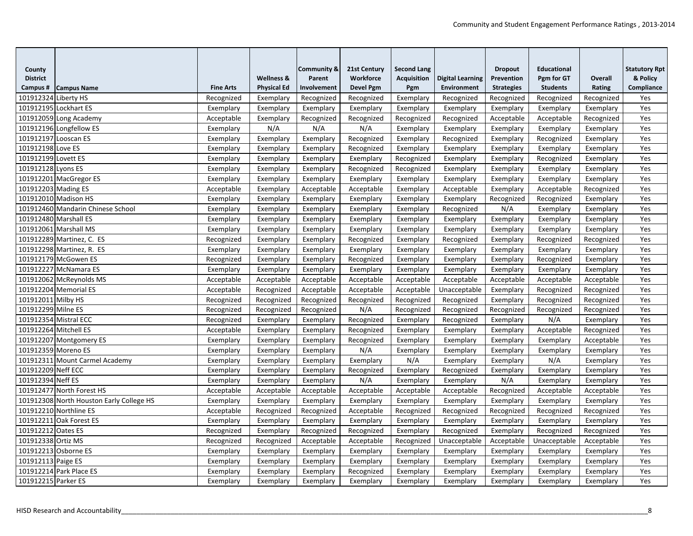| County                |                                          |                  |                       | <b>Community &amp;</b> | 21st Century     | <b>Second Lang</b> |                         | <b>Dropout</b>    | <b>Educational</b> |            | <b>Statutory Rpt</b> |
|-----------------------|------------------------------------------|------------------|-----------------------|------------------------|------------------|--------------------|-------------------------|-------------------|--------------------|------------|----------------------|
| <b>District</b>       |                                          |                  | <b>Wellness &amp;</b> | Parent                 | Workforce        | <b>Acquisition</b> | <b>Digital Learning</b> | Prevention        | Pgm for GT         | Overall    | & Policy             |
| Campus#               | <b>Campus Name</b>                       | <b>Fine Arts</b> | <b>Physical Ed</b>    | Involvement            | <b>Devel Pgm</b> | Pgm                | <b>Environment</b>      | <b>Strategies</b> | <b>Students</b>    | Rating     | Compliance           |
| 101912324 Liberty HS  |                                          | Recognized       | Exemplary             | Recognized             | Recognized       | Exemplary          | Recognized              | Recognized        | Recognized         | Recognized | Yes                  |
| 101912195 Lockhart ES |                                          | Exemplary        | Exemplary             | Exemplary              | Exemplary        | Exemplary          | Exemplary               | Exemplary         | Exemplary          | Exemplary  | Yes                  |
|                       | 101912059 Long Academy                   | Acceptable       | Exemplary             | Recognized             | Recognized       | Recognized         | Recognized              | Acceptable        | Acceptable         | Recognized | Yes                  |
|                       | 101912196 Longfellow ES                  | Exemplary        | N/A                   | N/A                    | N/A              | Exemplary          | Exemplary               | Exemplary         | Exemplary          | Exemplary  | Yes                  |
| 101912197 Looscan ES  |                                          | Exemplary        | Exemplary             | Exemplary              | Recognized       | Exemplary          | Recognized              | Exemplary         | Recognized         | Exemplary  | Yes                  |
| 101912198 Love ES     |                                          | Exemplary        | Exemplary             | Exemplary              | Recognized       | Exemplary          | Exemplary               | Exemplary         | Exemplary          | Exemplary  | Yes                  |
| 101912199 Lovett ES   |                                          | Exemplary        | Exemplary             | Exemplary              | Exemplary        | Recognized         | Exemplary               | Exemplary         | Recognized         | Exemplary  | Yes                  |
| 101912128 Lyons ES    |                                          | Exemplary        | Exemplary             | Exemplary              | Recognized       | Recognized         | Exemplary               | Exemplary         | Exemplary          | Exemplary  | Yes                  |
|                       | 101912201 MacGregor ES                   | Exemplary        | Exemplary             | Exemplary              | Exemplary        | Exemplary          | Exemplary               | Exemplary         | Exemplary          | Exemplary  | Yes                  |
| 101912203 Mading ES   |                                          | Acceptable       | Exemplary             | Acceptable             | Acceptable       | Exemplary          | Acceptable              | Exemplary         | Acceptable         | Recognized | Yes                  |
|                       | 101912010 Madison HS                     | Exemplary        | Exemplary             | Exemplary              | Exemplary        | Exemplary          | Exemplary               | Recognized        | Recognized         | Exemplary  | Yes                  |
|                       | 101912460 Mandarin Chinese School        | Exemplary        | Exemplary             | Exemplary              | Exemplary        | Exemplary          | Recognized              | N/A               | Exemplary          | Exemplary  | Yes                  |
|                       | 101912480 Marshall ES                    | Exemplary        | Exemplary             | Exemplary              | Exemplary        | Exemplary          | Exemplary               | Exemplary         | Exemplary          | Exemplary  | Yes                  |
|                       | 101912061 Marshall MS                    | Exemplary        | Exemplary             | Exemplary              | Exemplary        | Exemplary          | Exemplary               | Exemplary         | Exemplary          | Exemplary  | Yes                  |
|                       | 101912289 Martinez, C. ES                | Recognized       | Exemplary             | Exemplary              | Recognized       | Exemplary          | Recognized              | Exemplary         | Recognized         | Recognized | Yes                  |
|                       | 101912298 Martinez, R. ES                | Exemplary        | Exemplary             | Exemplary              | Exemplary        | Exemplary          | Exemplary               | Exemplary         | Exemplary          | Exemplary  | Yes                  |
|                       | 101912179 McGowen ES                     | Recognized       | Exemplary             | Exemplary              | Recognized       | Exemplary          | Exemplary               | Exemplary         | Recognized         | Exemplary  | Yes                  |
|                       | 101912227 McNamara ES                    | Exemplary        | Exemplary             | Exemplary              | Exemplary        | Exemplary          | Exemplary               | Exemplary         | Exemplary          | Exemplary  | Yes                  |
|                       | 101912062 McReynolds MS                  | Acceptable       | Acceptable            | Acceptable             | Acceptable       | Acceptable         | Acceptable              | Acceptable        | Acceptable         | Acceptable | Yes                  |
|                       | 101912204 Memorial ES                    | Acceptable       | Recognized            | Acceptable             | Acceptable       | Acceptable         | Unacceptable            | Exemplary         | Recognized         | Recognized | Yes                  |
| 101912011 Milby HS    |                                          | Recognized       | Recognized            | Recognized             | Recognized       | Recognized         | Recognized              | Exemplary         | Recognized         | Recognized | Yes                  |
| 101912299 Milne ES    |                                          | Recognized       | Recognized            | Recognized             | N/A              | Recognized         | Recognized              | Recognized        | Recognized         | Recognized | Yes                  |
|                       | 101912354 Mistral ECC                    | Recognized       | Exemplary             | Exemplary              | Recognized       | Exemplary          | Recognized              | Exemplary         | N/A                | Exemplary  | Yes                  |
| 101912264 Mitchell ES |                                          | Acceptable       | Exemplary             | Exemplary              | Recognized       | Exemplary          | Exemplary               | Exemplary         | Acceptable         | Recognized | Yes                  |
|                       | 101912207 Montgomery ES                  | Exemplary        | Exemplary             | Exemplary              | Recognized       | Exemplary          | Exemplary               | Exemplary         | Exemplary          | Acceptable | Yes                  |
| 101912359 Moreno ES   |                                          | Exemplary        | Exemplary             | Exemplary              | N/A              | Exemplary          | Exemplary               | Exemplary         | Exemplary          | Exemplary  | Yes                  |
|                       | 101912311 Mount Carmel Academy           | Exemplary        | Exemplary             | Exemplary              | Exemplary        | N/A                | Exemplary               | Exemplary         | N/A                | Exemplary  | Yes                  |
| 101912209 Neff ECC    |                                          | Exemplary        | Exemplary             | Exemplary              | Recognized       | Exemplary          | Recognized              | Exemplary         | Exemplary          | Exemplary  | Yes                  |
| 101912394 Neff ES     |                                          | Exemplary        | Exemplary             | Exemplary              | N/A              | Exemplary          | Exemplary               | N/A               | Exemplary          | Exemplary  | Yes                  |
|                       | 101912477 North Forest HS                | Acceptable       | Acceptable            | Acceptable             | Acceptable       | Acceptable         | Acceptable              | Recognized        | Acceptable         | Acceptable | Yes                  |
|                       | 101912308 North Houston Early College HS | Exemplary        | Exemplary             | Exemplary              | Exemplary        | Exemplary          | Exemplary               | Exemplary         | Exemplary          | Exemplary  | Yes                  |
|                       | 101912210 Northline ES                   | Acceptable       | Recognized            | Recognized             | Acceptable       | Recognized         | Recognized              | Recognized        | Recognized         | Recognized | Yes                  |
|                       | 101912211 Oak Forest ES                  | Exemplary        | Exemplary             | Exemplary              | Exemplary        | Exemplary          | Exemplary               | Exemplary         | Exemplary          | Exemplary  | Yes                  |
| 101912212 Oates ES    |                                          | Recognized       | Exemplary             | Recognized             | Recognized       | Exemplary          | Recognized              | Exemplary         | Recognized         | Recognized | Yes                  |
| 101912338 Ortiz MS    |                                          | Recognized       | Recognized            | Acceptable             | Acceptable       | Recognized         | Unacceptable            | Acceptable        | Unacceptable       | Acceptable | Yes                  |
|                       | 101912213 Osborne ES                     | Exemplary        | Exemplary             | Exemplary              | Exemplary        | Exemplary          | Exemplary               | Exemplary         | Exemplary          | Exemplary  | Yes                  |
| 101912113 Paige ES    |                                          | Exemplary        | Exemplary             | Exemplary              | Exemplary        | Exemplary          | Exemplary               | Exemplary         | Exemplary          | Exemplary  | Yes                  |
|                       | 101912214 Park Place ES                  | Exemplary        | Exemplary             | Exemplary              | Recognized       | Exemplary          | Exemplary               | Exemplary         | Exemplary          | Exemplary  | Yes                  |
| 101912215 Parker ES   |                                          | Exemplary        | Exemplary             | Exemplary              | Exemplary        | Exemplary          | Exemplary               | Exemplary         | Exemplary          | Exemplary  | Yes                  |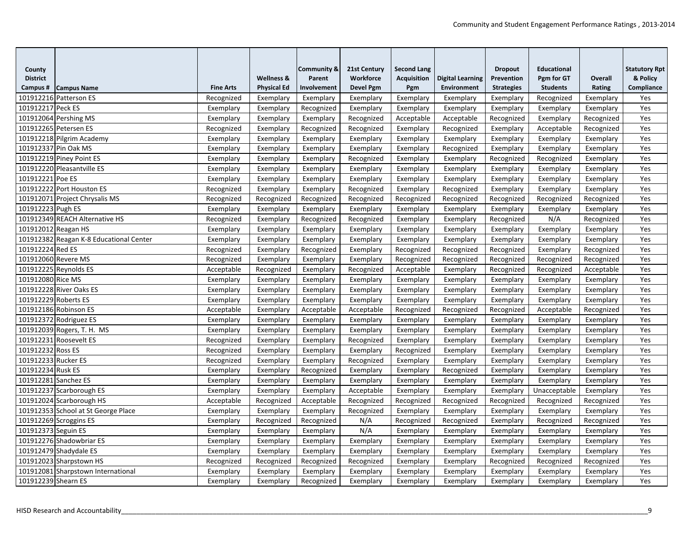| County               |                                         |                  |                       | <b>Community &amp;</b> | 21st Century     | <b>Second Lang</b> |                         | <b>Dropout</b>    | <b>Educational</b> |            | <b>Statutory Rpt</b> |
|----------------------|-----------------------------------------|------------------|-----------------------|------------------------|------------------|--------------------|-------------------------|-------------------|--------------------|------------|----------------------|
| <b>District</b>      |                                         |                  | <b>Wellness &amp;</b> | Parent                 | Workforce        | <b>Acquisition</b> | <b>Digital Learning</b> | Prevention        | Pgm for GT         | Overall    | & Policy             |
| Campus#              | <b>Campus Name</b>                      | <b>Fine Arts</b> | <b>Physical Ed</b>    | Involvement            | <b>Devel Pgm</b> | Pgm                | <b>Environment</b>      | <b>Strategies</b> | <b>Students</b>    | Rating     | Compliance           |
|                      | 101912216 Patterson ES                  | Recognized       | Exemplary             | Exemplary              | Exemplary        | Exemplary          | Exemplary               | Exemplary         | Recognized         | Exemplary  | Yes                  |
| 101912217 Peck ES    |                                         | Exemplary        | Exemplary             | Recognized             | Exemplary        | Exemplary          | Exemplary               | Exemplary         | Exemplary          | Exemplary  | Yes                  |
|                      | 101912064 Pershing MS                   | Exemplary        | Exemplary             | Exemplary              | Recognized       | Acceptable         | Acceptable              | Recognized        | Exemplary          | Recognized | Yes                  |
|                      | 101912265 Petersen ES                   | Recognized       | Exemplary             | Recognized             | Recognized       | Exemplary          | Recognized              | Exemplary         | Acceptable         | Recognized | Yes                  |
|                      | 101912218 Pilgrim Academy               | Exemplary        | Exemplary             | Exemplary              | Exemplary        | Exemplary          | Exemplary               | Exemplary         | Exemplary          | Exemplary  | Yes                  |
|                      | 101912337 Pin Oak MS                    | Exemplary        | Exemplary             | Exemplary              | Exemplary        | Exemplary          | Recognized              | Exemplary         | Exemplary          | Exemplary  | Yes                  |
|                      | 101912219 Piney Point ES                | Exemplary        | Exemplary             | Exemplary              | Recognized       | Exemplary          | Exemplary               | Recognized        | Recognized         | Exemplary  | Yes                  |
|                      | 101912220 Pleasantville ES              | Exemplary        | Exemplary             | Exemplary              | Exemplary        | Exemplary          | Exemplary               | Exemplary         | Exemplary          | Exemplary  | Yes                  |
| 101912221 Poe ES     |                                         | Exemplary        | Exemplary             | Exemplary              | Exemplary        | Exemplary          | Exemplary               | Exemplary         | Exemplary          | Exemplary  | Yes                  |
|                      | 101912222 Port Houston ES               | Recognized       | Exemplary             | Exemplary              | Recognized       | Exemplary          | Recognized              | Exemplary         | Exemplary          | Exemplary  | Yes                  |
|                      | 101912071 Project Chrysalis MS          | Recognized       | Recognized            | Recognized             | Recognized       | Recognized         | Recognized              | Recognized        | Recognized         | Recognized | Yes                  |
| 101912223 Pugh ES    |                                         | Exemplary        | Exemplary             | Exemplary              | Exemplary        | Exemplary          | Exemplary               | Exemplary         | Exemplary          | Exemplary  | Yes                  |
|                      | 101912349 REACH Alternative HS          | Recognized       | Exemplary             | Recognized             | Recognized       | Exemplary          | Exemplary               | Recognized        | N/A                | Recognized | Yes                  |
| 101912012 Reagan HS  |                                         | Exemplary        | Exemplary             | Exemplary              | Exemplary        | Exemplary          | Exemplary               | Exemplary         | Exemplary          | Exemplary  | Yes                  |
|                      | 101912382 Reagan K-8 Educational Center | Exemplary        | Exemplary             | Exemplary              | Exemplary        | Exemplary          | Exemplary               | Exemplary         | Exemplary          | Exemplary  | Yes                  |
| 101912224 Red ES     |                                         | Recognized       | Exemplary             | Recognized             | Exemplary        | Recognized         | Recognized              | Recognized        | Exemplary          | Recognized | Yes                  |
| 101912060 Revere MS  |                                         | Recognized       | Exemplary             | Exemplary              | Exemplary        | Recognized         | Recognized              | Recognized        | Recognized         | Recognized | Yes                  |
|                      | 101912225 Reynolds ES                   | Acceptable       | Recognized            | Exemplary              | Recognized       | Acceptable         | Exemplary               | Recognized        | Recognized         | Acceptable | Yes                  |
| 101912080 Rice MS    |                                         | Exemplary        | Exemplary             | Exemplary              | Exemplary        | Exemplary          | Exemplary               | Exemplary         | Exemplary          | Exemplary  | Yes                  |
|                      | 101912228 River Oaks ES                 | Exemplary        | Exemplary             | Exemplary              | Exemplary        | Exemplary          | Exemplary               | Exemplary         | Exemplary          | Exemplary  | Yes                  |
| 101912229 Roberts ES |                                         | Exemplary        | Exemplary             | Exemplary              | Exemplary        | Exemplary          | Exemplary               | Exemplary         | Exemplary          | Exemplary  | Yes                  |
|                      | 101912186 Robinson ES                   | Acceptable       | Exemplary             | Acceptable             | Acceptable       | Recognized         | Recognized              | Recognized        | Acceptable         | Recognized | Yes                  |
|                      | 101912372 Rodriguez ES                  | Exemplary        | Exemplary             | Exemplary              | Exemplary        | Exemplary          | Exemplary               | Exemplary         | Exemplary          | Exemplary  | Yes                  |
|                      | 101912039 Rogers, T. H. MS              | Exemplary        | Exemplary             | Exemplary              | Exemplary        | Exemplary          | Exemplary               | Exemplary         | Exemplary          | Exemplary  | Yes                  |
|                      | 101912231 Roosevelt ES                  | Recognized       | Exemplary             | Exemplary              | Recognized       | Exemplary          | Exemplary               | Exemplary         | Exemplary          | Exemplary  | Yes                  |
| 101912232 Ross ES    |                                         | Recognized       | Exemplary             | Exemplary              | Exemplary        | Recognized         | Exemplary               | Exemplary         | Exemplary          | Exemplary  | Yes                  |
| 101912233 Rucker ES  |                                         | Recognized       | Exemplary             | Exemplary              | Recognized       | Exemplary          | Exemplary               | Exemplary         | Exemplary          | Exemplary  | Yes                  |
| 101912234 Rusk ES    |                                         | Exemplary        | Exemplary             | Recognized             | Exemplary        | Exemplary          | Recognized              | Exemplary         | Exemplary          | Exemplary  | Yes                  |
| 101912281 Sanchez ES |                                         | Exemplary        | Exemplary             | Exemplary              | Exemplary        | Exemplary          | Exemplary               | Exemplary         | Exemplary          | Exemplary  | Yes                  |
|                      | 101912237 Scarborough ES                | Exemplary        | Exemplary             | Exemplary              | Acceptable       | Exemplary          | Exemplary               | Exemplary         | Unacceptable       | Exemplary  | Yes                  |
|                      | 101912024 Scarborough HS                | Acceptable       | Recognized            | Acceptable             | Recognized       | Recognized         | Recognized              | Recognized        | Recognized         | Recognized | Yes                  |
|                      | 101912353 School at St George Place     | Exemplary        | Exemplary             | Exemplary              | Recognized       | Exemplary          | Exemplary               | Exemplary         | Exemplary          | Exemplary  | Yes                  |
|                      | 101912269 Scroggins ES                  | Exemplary        | Recognized            | Recognized             | N/A              | Recognized         | Recognized              | Exemplary         | Recognized         | Recognized | Yes                  |
| 101912373 Seguin ES  |                                         | Exemplary        | Exemplary             | Exemplary              | N/A              | Exemplary          | Exemplary               | Exemplary         | Exemplary          | Exemplary  | Yes                  |
|                      | 101912276 Shadowbriar ES                | Exemplary        | Exemplary             | Exemplary              | Exemplary        | Exemplary          | Exemplary               | Exemplary         | Exemplary          | Exemplary  | Yes                  |
|                      | 101912479 Shadydale ES                  | Exemplary        | Exemplary             | Exemplary              | Exemplary        | Exemplary          | Exemplary               | Exemplary         | Exemplary          | Exemplary  | Yes                  |
|                      | 101912023 Sharpstown HS                 | Recognized       | Recognized            | Recognized             | Recognized       | Exemplary          | Exemplary               | Recognized        | Recognized         | Recognized | Yes                  |
|                      | 101912081 Sharpstown International      | Exemplary        | Exemplary             | Exemplary              | Exemplary        | Exemplary          | Exemplary               | Exemplary         | Exemplary          | Exemplary  | Yes                  |
| 101912239 Shearn ES  |                                         | Exemplary        | Exemplary             | Recognized             | Exemplary        | Exemplary          | Exemplary               | Exemplary         | Exemplary          | Exemplary  | Yes                  |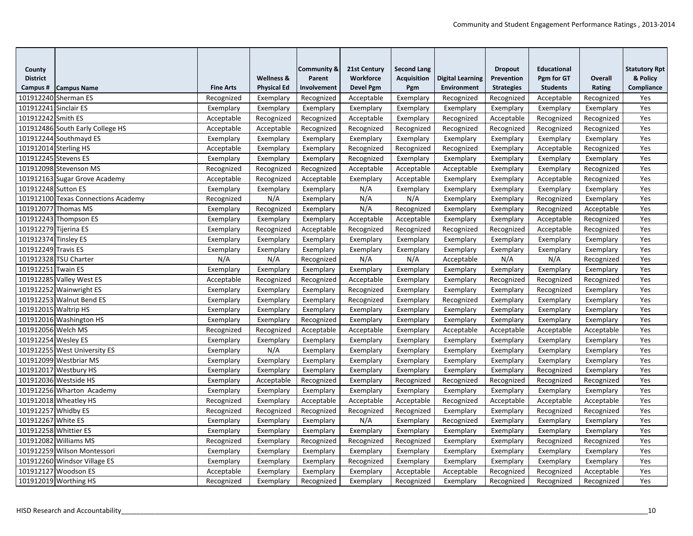| County<br><b>District</b> |                                     |                  | <b>Wellness &amp;</b> | <b>Community &amp;</b><br>Parent | 21st Century<br>Workforce | <b>Second Lang</b><br><b>Acquisition</b> | <b>Digital Learning</b> | <b>Dropout</b><br>Prevention | <b>Educational</b><br>Pgm for GT | Overall    | <b>Statutory Rpt</b><br>& Policy |
|---------------------------|-------------------------------------|------------------|-----------------------|----------------------------------|---------------------------|------------------------------------------|-------------------------|------------------------------|----------------------------------|------------|----------------------------------|
| Campus#                   | <b>Campus Name</b>                  | <b>Fine Arts</b> | <b>Physical Ed</b>    | Involvement                      | <b>Devel Pgm</b>          | Pgm                                      | <b>Environment</b>      | <b>Strategies</b>            | <b>Students</b>                  | Rating     | Compliance                       |
|                           | 101912240 Sherman ES                | Recognized       | Exemplary             | Recognized                       | Acceptable                | Exemplary                                | Recognized              | Recognized                   | Acceptable                       | Recognized | Yes                              |
| 101912241 Sinclair ES     |                                     | Exemplary        | Exemplary             | Exemplary                        | Exemplary                 | Exemplary                                | Exemplary               | Exemplary                    | Exemplary                        | Exemplary  | Yes                              |
| 101912242 Smith ES        |                                     | Acceptable       | Recognized            | Recognized                       | Acceptable                | Exemplary                                | Recognized              | Acceptable                   | Recognized                       | Recognized | Yes                              |
|                           | 101912486 South Early College HS    | Acceptable       | Acceptable            | Recognized                       | Recognized                | Recognized                               | Recognized              | Recognized                   | Recognized                       | Recognized | Yes                              |
|                           | 101912244 Southmayd ES              | Exemplary        | Exemplary             | Exemplary                        | Exemplary                 | Exemplary                                | Exemplary               | Exemplary                    | Exemplary                        | Exemplary  | Yes                              |
| 101912014 Sterling HS     |                                     | Acceptable       | Exemplary             | Exemplary                        | Recognized                | Recognized                               | Recognized              | Exemplary                    | Acceptable                       | Recognized | Yes                              |
| 101912245 Stevens ES      |                                     | Exemplary        | Exemplary             | Exemplary                        | Recognized                | Exemplary                                | Exemplary               | Exemplary                    | Exemplary                        | Exemplary  | Yes                              |
|                           | 101912098 Stevenson MS              | Recognized       | Recognized            | Recognized                       | Acceptable                | Acceptable                               | Acceptable              | Exemplary                    | Exemplary                        | Recognized | Yes                              |
|                           | 101912163 Sugar Grove Academy       | Acceptable       | Recognized            | Acceptable                       | Exemplary                 | Acceptable                               | Exemplary               | Exemplary                    | Acceptable                       | Recognized | Yes                              |
| 101912248 Sutton ES       |                                     | Exemplary        | Exemplary             | Exemplary                        | N/A                       | Exemplary                                | Exemplary               | Exemplary                    | Exemplary                        | Exemplary  | Yes                              |
|                           | 101912100 Texas Connections Academy | Recognized       | N/A                   | Exemplary                        | N/A                       | N/A                                      | Exemplary               | Exemplary                    | Recognized                       | Exemplary  | Yes                              |
|                           | 101912077 Thomas MS                 | Exemplary        | Recognized            | Exemplary                        | N/A                       | Recognized                               | Exemplary               | Exemplary                    | Recognized                       | Acceptable | Yes                              |
|                           | 101912243 Thompson ES               | Exemplary        | Exemplary             | Exemplary                        | Acceptable                | Acceptable                               | Exemplary               | Exemplary                    | Acceptable                       | Recognized | Yes                              |
| 101912279 Tijerina ES     |                                     | Exemplary        | Recognized            | Acceptable                       | Recognized                | Recognized                               | Recognized              | Recognized                   | Acceptable                       | Recognized | Yes                              |
| 101912374 Tinsley ES      |                                     | Exemplary        | Exemplary             | Exemplary                        | Exemplary                 | Exemplary                                | Exemplary               | Exemplary                    | Exemplary                        | Exemplary  | Yes                              |
| 101912249 Travis ES       |                                     | Exemplary        | Exemplary             | Exemplary                        | Exemplary                 | Exemplary                                | Exemplary               | Exemplary                    | Exemplary                        | Exemplary  | Yes                              |
|                           | 101912328 TSU Charter               | N/A              | N/A                   | Recognized                       | N/A                       | N/A                                      | Acceptable              | N/A                          | N/A                              | Recognized | Yes                              |
| 101912251 Twain ES        |                                     | Exemplary        | Exemplary             | Exemplary                        | Exemplary                 | Exemplary                                | Exemplary               | Exemplary                    | Exemplary                        | Exemplary  | Yes                              |
|                           | 101912285 Valley West ES            | Acceptable       | Recognized            | Recognized                       | Acceptable                | Exemplary                                | Exemplary               | Recognized                   | Recognized                       | Recognized | Yes                              |
|                           | 101912252 Wainwright ES             | Exemplary        | Exemplary             | Exemplary                        | Recognized                | Exemplary                                | Exemplary               | Exemplary                    | Recognized                       | Exemplary  | Yes                              |
|                           | 101912253 Walnut Bend ES            | Exemplary        | Exemplary             | Exemplary                        | Recognized                | Exemplary                                | Recognized              | Exemplary                    | Exemplary                        | Exemplary  | Yes                              |
| 101912015 Waltrip HS      |                                     | Exemplary        | Exemplary             | Exemplary                        | Exemplary                 | Exemplary                                | Exemplary               | Exemplary                    | Exemplary                        | Exemplary  | Yes                              |
|                           | 101912016 Washington HS             | Exemplary        | Exemplary             | Recognized                       | Exemplary                 | Exemplary                                | Exemplary               | Exemplary                    | Exemplary                        | Exemplary  | Yes                              |
| 101912056 Welch MS        |                                     | Recognized       | Recognized            | Acceptable                       | Acceptable                | Exemplary                                | Acceptable              | Acceptable                   | Acceptable                       | Acceptable | Yes                              |
| 101912254 Wesley ES       |                                     | Exemplary        | Exemplary             | Exemplary                        | Exemplary                 | Exemplary                                | Exemplary               | Exemplary                    | Exemplary                        | Exemplary  | Yes                              |
|                           | 101912255 West University ES        | Exemplary        | N/A                   | Exemplary                        | Exemplary                 | Exemplary                                | Exemplary               | Exemplary                    | Exemplary                        | Exemplary  | Yes                              |
|                           | 101912099 Westbriar MS              | Exemplary        | Exemplary             | Exemplary                        | Exemplary                 | Exemplary                                | Exemplary               | Exemplary                    | Exemplary                        | Exemplary  | Yes                              |
|                           | 101912017 Westbury HS               | Exemplary        | Exemplary             | Exemplary                        | Exemplary                 | Exemplary                                | Exemplary               | Exemplary                    | Recognized                       | Exemplary  | Yes                              |
|                           | 101912036 Westside HS               | Exemplary        | Acceptable            | Recognized                       | Exemplary                 | Recognized                               | Recognized              | Recognized                   | Recognized                       | Recognized | Yes                              |
|                           | 101912256 Wharton Academy           | Exemplary        | Exemplary             | Exemplary                        | Exemplary                 | Exemplary                                | Exemplary               | Exemplary                    | Exemplary                        | Exemplary  | Yes                              |
|                           | 101912018 Wheatley HS               | Recognized       | Exemplary             | Acceptable                       | Acceptable                | Acceptable                               | Recognized              | Acceptable                   | Acceptable                       | Acceptable | Yes                              |
| 101912257 Whidby ES       |                                     | Recognized       | Recognized            | Recognized                       | Recognized                | Recognized                               | Exemplary               | Exemplary                    | Recognized                       | Recognized | Yes                              |
| 101912267 White ES        |                                     | Exemplary        | Exemplary             | Exemplary                        | N/A                       | Exemplary                                | Recognized              | Exemplary                    | Exemplary                        | Exemplary  | Yes                              |
|                           | 101912258 Whittier ES               | Exemplary        | Exemplary             | Exemplary                        | Exemplary                 | Exemplary                                | Exemplary               | Exemplary                    | Exemplary                        | Exemplary  | Yes                              |
|                           | 101912082 Williams MS               | Recognized       | Exemplary             | Recognized                       | Recognized                | Recognized                               | Exemplary               | Exemplary                    | Recognized                       | Recognized | Yes                              |
|                           | 101912259 Wilson Montessori         | Exemplary        | Exemplary             | Exemplary                        | Exemplary                 | Exemplary                                | Exemplary               | Exemplary                    | Exemplary                        | Exemplary  | Yes                              |
|                           | 101912260 Windsor Village ES        | Exemplary        | Exemplary             | Exemplary                        | Recognized                | Exemplary                                | Exemplary               | Exemplary                    | Exemplary                        | Exemplary  | Yes                              |
|                           | 101912127 Woodson ES                | Acceptable       | Exemplary             | Exemplary                        | Exemplary                 | Acceptable                               | Acceptable              | Recognized                   | Recognized                       | Acceptable | Yes                              |
|                           | 101912019 Worthing HS               | Recognized       | Exemplary             | Recognized                       | Exemplary                 | Recognized                               | Exemplary               | Recognized                   | Recognized                       | Recognized | Yes                              |